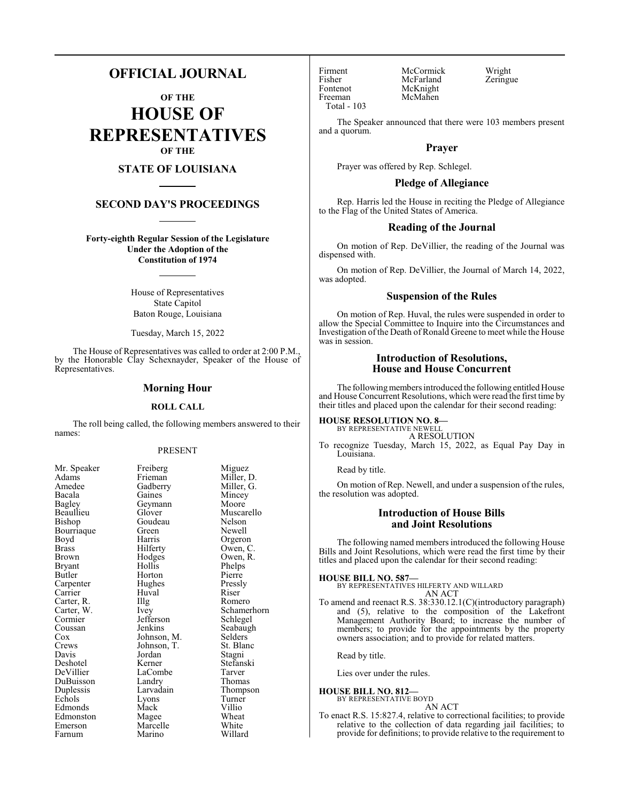# **OFFICIAL JOURNAL**

**OF THE HOUSE OF REPRESENTATIVES OF THE**

## **STATE OF LOUISIANA**

## **SECOND DAY'S PROCEEDINGS**

**Forty-eighth Regular Session of the Legislature Under the Adoption of the Constitution of 1974**

> House of Representatives State Capitol Baton Rouge, Louisiana

Tuesday, March 15, 2022

The House of Representatives was called to order at 2:00 P.M., by the Honorable Clay Schexnayder, Speaker of the House of Representatives.

### **Morning Hour**

### **ROLL CALL**

The roll being called, the following members answered to their names:

### PRESENT

Mincey<br>Moore

Muscarello<br>Nelson

Owen, R.<br>Phelps

Schamerhorn<br>Schlegel

Seabaugh

Thomas

| мг. эреакег   |
|---------------|
| Adams         |
| Amedee        |
| Bacala        |
| <b>Bagley</b> |
| Beaullieu     |
| Bishop        |
| Bourriaque    |
| Boyd          |
| Brass         |
| Brown         |
| Bryant        |
| Butler        |
| Carpenter     |
| Carrier       |
| Carter, R.    |
| Carter, W.    |
| Cormier       |
| Coussan       |
| Cox<br>Crews  |
|               |
| Davis         |
| Deshotel      |
| DeVillier     |
| DuBuisson     |
| Duplessis     |
| Echols        |
| Edmonds       |
| Edmonston     |
| Emerson       |
| Farnum        |

Mr. Speaker Freiberg Miguez<br>Adams Frieman Miller, 1 Frieman Miller, D.<br>Gadberry Miller, G. Gadberry Miller, G.<br>Gaines Mincey Geymann<br>Glover Goudeau<br>Green Green Newell<br>Harris Orgeror Harris Orgeron<br>Hilferty Owen, C Hilferty Owen, C.<br>Hodges Owen, R. Hollis Horton Pierre<br>
Hughes Pressly Hughes Pressl<br>Huval Riser Huval<br>Illg The Romero<br>
Ivey Schamero<br>
Schamero Jefferson<br>Jenkins Johnson, M. Selders<br>Johnson, T. St. Blanc Johnson, T. St. Blanch<br>Jordan Stagni Jordan Kerner Stefanski<br>LaCombe Tarver LaCombe<br>Landry Larvadain Thompson<br>
Lyons Turner Lyons Turner<br>Mack Villio Mack Villio<br>
Magee Wheat Magee Wheat<br>
Marcelle White Marcelle White<br>
Marino Willard Marino

Fontenot McKnight<br>Freeman McMahen Total - 103

Firment McCormick Wright<br>
Fisher McFarland Zeringue Fisher McFarland<br>Fontenot McKnight McMahen

The Speaker announced that there were 103 members present and a quorum.

### **Prayer**

Prayer was offered by Rep. Schlegel.

### **Pledge of Allegiance**

Rep. Harris led the House in reciting the Pledge of Allegiance to the Flag of the United States of America.

### **Reading of the Journal**

On motion of Rep. DeVillier, the reading of the Journal was dispensed with.

On motion of Rep. DeVillier, the Journal of March 14, 2022, was adopted.

### **Suspension of the Rules**

On motion of Rep. Huval, the rules were suspended in order to allow the Special Committee to Inquire into the Circumstances and Investigation of the Death of Ronald Greene to meet while the House was in session.

## **Introduction of Resolutions, House and House Concurrent**

The following members introduced the following entitled House and House Concurrent Resolutions, which were read the first time by their titles and placed upon the calendar for their second reading:

# **HOUSE RESOLUTION NO. 8—** BY REPRESENTATIVE NEWELL

A RESOLUTION

To recognize Tuesday, March 15, 2022, as Equal Pay Day in Louisiana.

Read by title.

On motion of Rep. Newell, and under a suspension of the rules, the resolution was adopted.

## **Introduction of House Bills and Joint Resolutions**

The following named members introduced the following House Bills and Joint Resolutions, which were read the first time by their titles and placed upon the calendar for their second reading:

### **HOUSE BILL NO. 587—**

BY REPRESENTATIVES HILFERTY AND WILLARD AN ACT

To amend and reenact R.S. 38:330.12.1(C)(introductory paragraph) and (5), relative to the composition of the Lakefront Management Authority Board; to increase the number of members; to provide for the appointments by the property owners association; and to provide for related matters.

Read by title.

Lies over under the rules.

#### **HOUSE BILL NO. 812—** BY REPRESENTATIVE BOYD

AN ACT

To enact R.S. 15:827.4, relative to correctional facilities; to provide relative to the collection of data regarding jail facilities; to provide for definitions; to provide relative to the requirement to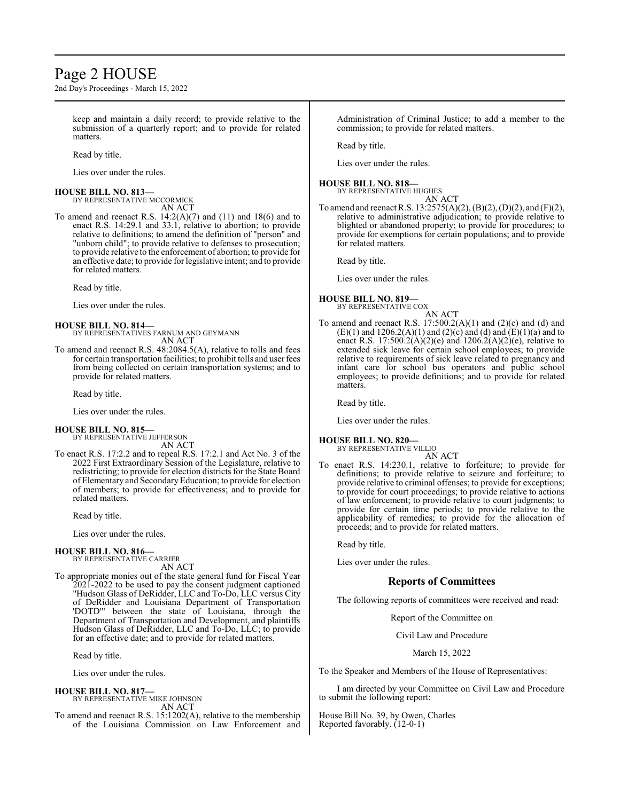# Page 2 HOUSE

2nd Day's Proceedings - March 15, 2022

keep and maintain a daily record; to provide relative to the submission of a quarterly report; and to provide for related matters.

Read by title.

Lies over under the rules.

### **HOUSE BILL NO. 813—** BY REPRESENTATIVE MCCORMICK

AN ACT

To amend and reenact R.S. 14:2(A)(7) and (11) and 18(6) and to enact R.S. 14:29.1 and 33.1, relative to abortion; to provide relative to definitions; to amend the definition of "person" and "unborn child"; to provide relative to defenses to prosecution; to provide relative to the enforcement of abortion; to provide for an effective date; to provide for legislative intent; and to provide for related matters.

Read by title.

Lies over under the rules.

#### **HOUSE BILL NO. 814—** BY REPRESENTATIVES FARNUM AND GEYMANN AN ACT

To amend and reenact R.S. 48:2084.5(A), relative to tolls and fees for certain transportation facilities; to prohibit tolls and user fees from being collected on certain transportation systems; and to provide for related matters.

Read by title.

Lies over under the rules.

## **HOUSE BILL NO. 815—**

BY REPRESENTATIVE JEFFERSON AN ACT

To enact R.S. 17:2.2 and to repeal R.S. 17:2.1 and Act No. 3 of the 2022 First Extraordinary Session of the Legislature, relative to redistricting; to provide for election districts for the State Board of Elementary and SecondaryEducation; to provide for election of members; to provide for effectiveness; and to provide for related matters.

Read by title.

Lies over under the rules.

### **HOUSE BILL NO. 816—** BY REPRESENTATIVE CARRIER

AN ACT

To appropriate monies out of the state general fund for Fiscal Year 2021-2022 to be used to pay the consent judgment captioned "Hudson Glass of DeRidder, LLC and To-Do, LLC versus City of DeRidder and Louisiana Department of Transportation 'DOTD'" between the state of Louisiana, through the Department of Transportation and Development, and plaintiffs Hudson Glass of DeRidder, LLC and To-Do, LLC; to provide for an effective date; and to provide for related matters.

Read by title.

Lies over under the rules.

### **HOUSE BILL NO. 817—**

BY REPRESENTATIVE MIKE JOHNSON AN ACT

To amend and reenact R.S. 15:1202(A), relative to the membership of the Louisiana Commission on Law Enforcement and

Administration of Criminal Justice; to add a member to the commission; to provide for related matters.

Read by title.

Lies over under the rules.

### **HOUSE BILL NO. 818—**

BY REPRESENTATIVE HUGHES AN ACT

To amend and reenact R.S. 13:2575(A)(2), (B)(2), (D)(2), and (F)(2), relative to administrative adjudication; to provide relative to blighted or abandoned property; to provide for procedures; to provide for exemptions for certain populations; and to provide for related matters.

Read by title.

Lies over under the rules.

### **HOUSE BILL NO. 819—** BY REPRESENTATIVE COX

AN ACT

To amend and reenact R.S.  $17:500.2(A)(1)$  and  $(2)(c)$  and  $(d)$  and (E)(1) and 1206.2(A)(1) and (2)(c) and (d) and (E)(1)(a) and to enact R.S. 17:500.2(A)(2)(e) and 1206.2(A)(2)(e), relative to extended sick leave for certain school employees; to provide relative to requirements of sick leave related to pregnancy and infant care for school bus operators and public school employees; to provide definitions; and to provide for related matters.

Read by title.

Lies over under the rules.

#### **HOUSE BILL NO. 820—** BY REPRESENTATIVE VILLIO

AN ACT

To enact R.S. 14:230.1, relative to forfeiture; to provide for definitions; to provide relative to seizure and forfeiture; to provide relative to criminal offenses; to provide for exceptions; to provide for court proceedings; to provide relative to actions of law enforcement; to provide relative to court judgments; to provide for certain time periods; to provide relative to the applicability of remedies; to provide for the allocation of proceeds; and to provide for related matters.

Read by title.

Lies over under the rules.

## **Reports of Committees**

The following reports of committees were received and read:

Report of the Committee on

Civil Law and Procedure

### March 15, 2022

To the Speaker and Members of the House of Representatives:

I am directed by your Committee on Civil Law and Procedure to submit the following report:

House Bill No. 39, by Owen, Charles Reported favorably. (12-0-1)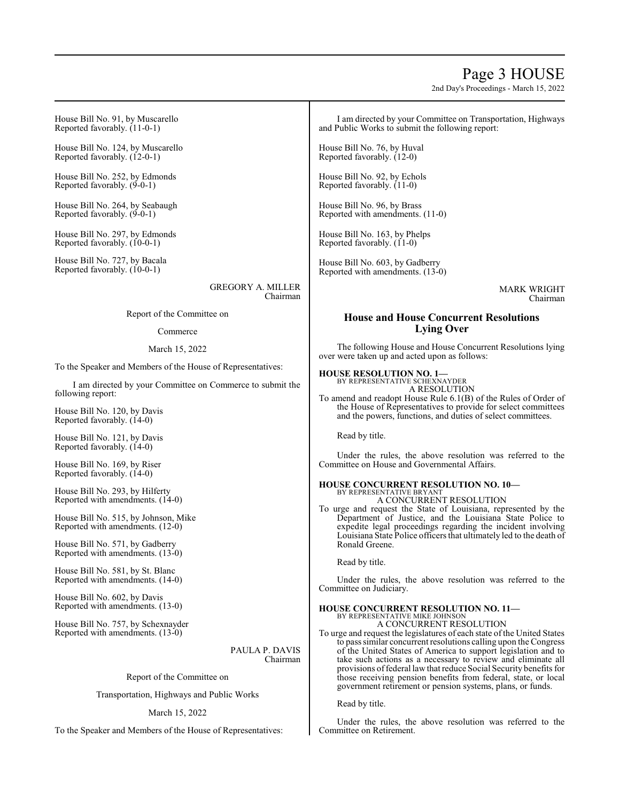# Page 3 HOUSE

2nd Day's Proceedings - March 15, 2022

House Bill No. 91, by Muscarello Reported favorably. (11-0-1)

House Bill No. 124, by Muscarello Reported favorably. (12-0-1)

House Bill No. 252, by Edmonds Reported favorably. (9-0-1)

House Bill No. 264, by Seabaugh Reported favorably. (9-0-1)

House Bill No. 297, by Edmonds Reported favorably. (10-0-1)

House Bill No. 727, by Bacala Reported favorably. (10-0-1)

> GREGORY A. MILLER Chairman

Report of the Committee on

### Commerce

### March 15, 2022

To the Speaker and Members of the House of Representatives:

I am directed by your Committee on Commerce to submit the following report:

House Bill No. 120, by Davis Reported favorably. (14-0)

House Bill No. 121, by Davis Reported favorably. (14-0)

House Bill No. 169, by Riser Reported favorably. (14-0)

House Bill No. 293, by Hilferty Reported with amendments. (14-0)

House Bill No. 515, by Johnson, Mike Reported with amendments. (12-0)

House Bill No. 571, by Gadberry Reported with amendments. (13-0)

House Bill No. 581, by St. Blanc Reported with amendments. (14-0)

House Bill No. 602, by Davis Reported with amendments. (13-0)

House Bill No. 757, by Schexnayder Reported with amendments. (13-0)

> PAULA P. DAVIS Chairman

Report of the Committee on

Transportation, Highways and Public Works

### March 15, 2022

To the Speaker and Members of the House of Representatives:

I am directed by your Committee on Transportation, Highways and Public Works to submit the following report:

House Bill No. 76, by Huval Reported favorably. (12-0)

House Bill No. 92, by Echols Reported favorably. (11-0)

House Bill No. 96, by Brass Reported with amendments. (11-0)

House Bill No. 163, by Phelps Reported favorably.  $(11-0)$ 

House Bill No. 603, by Gadberry Reported with amendments. (13-0)

> MARK WRIGHT Chairman

## **House and House Concurrent Resolutions Lying Over**

The following House and House Concurrent Resolutions lying over were taken up and acted upon as follows:

## **HOUSE RESOLUTION NO. 1—**

BY REPRESENTATIVE SCHEXNAYDER A RESOLUTION

To amend and readopt House Rule 6.1(B) of the Rules of Order of the House of Representatives to provide for select committees and the powers, functions, and duties of select committees.

Read by title.

Under the rules, the above resolution was referred to the Committee on House and Governmental Affairs.

#### **HOUSE CONCURRENT RESOLUTION NO. 10—** BY REPRESENTATIVE BRYANT

A CONCURRENT RESOLUTION

To urge and request the State of Louisiana, represented by the Department of Justice, and the Louisiana State Police to expedite legal proceedings regarding the incident involving Louisiana State Police officers that ultimately led to the death of Ronald Greene.

Read by title.

Under the rules, the above resolution was referred to the Committee on Judiciary.

#### **HOUSE CONCURRENT RESOLUTION NO. 11—** BY REPRESENTATIVE MIKE JOHNSON

A CONCURRENT RESOLUTION

To urge and request the legislatures of each state of the United States to pass similar concurrent resolutions calling upon the Congress of the United States of America to support legislation and to take such actions as a necessary to review and eliminate all provisions of federal law that reduce Social Security benefits for those receiving pension benefits from federal, state, or local government retirement or pension systems, plans, or funds.

Read by title.

Under the rules, the above resolution was referred to the Committee on Retirement.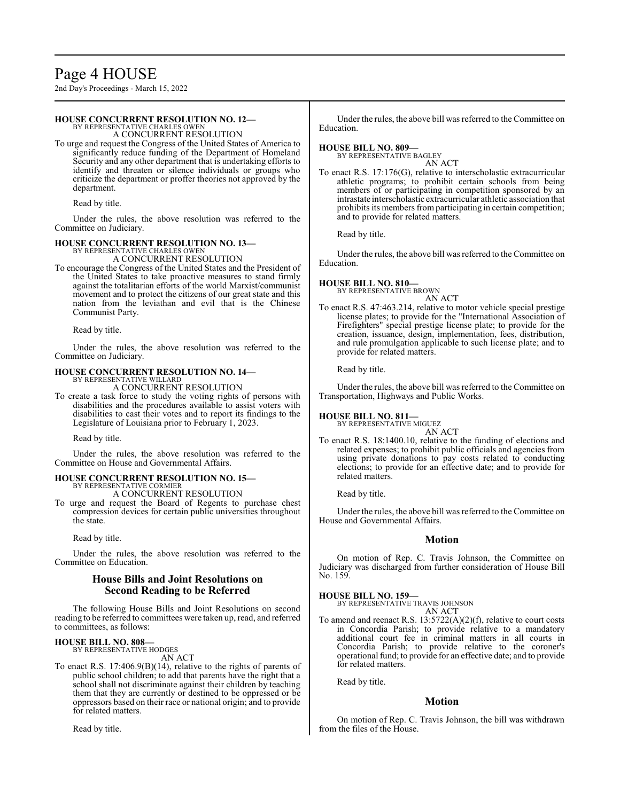# Page 4 HOUSE

2nd Day's Proceedings - March 15, 2022

### **HOUSE CONCURRENT RESOLUTION NO. 12—**

BY REPRESENTATIVE CHARLES OWEN A CONCURRENT RESOLUTION

To urge and request the Congress of the United States of America to significantly reduce funding of the Department of Homeland Security and any other department that is undertaking efforts to identify and threaten or silence individuals or groups who criticize the department or proffer theories not approved by the department.

Read by title.

Under the rules, the above resolution was referred to the Committee on Judiciary.

# **HOUSE CONCURRENT RESOLUTION NO. 13—** BY REPRESENTATIVE CHARLES OWEN

A CONCURRENT RESOLUTION

To encourage the Congress of the United States and the President of the United States to take proactive measures to stand firmly against the totalitarian efforts of the world Marxist/communist movement and to protect the citizens of our great state and this nation from the leviathan and evil that is the Chinese Communist Party.

Read by title.

Under the rules, the above resolution was referred to the Committee on Judiciary.

# **HOUSE CONCURRENT RESOLUTION NO. 14—** BY REPRESENTATIVE WILLARD

A CONCURRENT RESOLUTION

To create a task force to study the voting rights of persons with disabilities and the procedures available to assist voters with disabilities to cast their votes and to report its findings to the Legislature of Louisiana prior to February 1, 2023.

Read by title.

Under the rules, the above resolution was referred to the Committee on House and Governmental Affairs.

### **HOUSE CONCURRENT RESOLUTION NO. 15—** BY REPRESENTATIVE CORMIER

A CONCURRENT RESOLUTION

To urge and request the Board of Regents to purchase chest compression devices for certain public universities throughout the state.

Read by title.

Under the rules, the above resolution was referred to the Committee on Education.

## **House Bills and Joint Resolutions on Second Reading to be Referred**

The following House Bills and Joint Resolutions on second reading to be referred to committees were taken up, read, and referred to committees, as follows:

#### **HOUSE BILL NO. 808—** BY REPRESENTATIVE HODGES

AN ACT

To enact R.S. 17:406.9(B)(14), relative to the rights of parents of public school children; to add that parents have the right that a school shall not discriminate against their children by teaching them that they are currently or destined to be oppressed or be oppressors based on their race or national origin; and to provide for related matters.

Read by title.

Under the rules, the above bill was referred to the Committee on Education.

### **HOUSE BILL NO. 809—**

BY REPRESENTATIVE BAGLEY AN ACT

To enact R.S. 17:176(G), relative to interscholastic extracurricular athletic programs; to prohibit certain schools from being members of or participating in competition sponsored by an intrastate interscholastic extracurricular athletic association that prohibits its members from participating in certain competition; and to provide for related matters.

Read by title.

Under the rules, the above bill was referred to the Committee on Education.

### **HOUSE BILL NO. 810—**

BY REPRESENTATIVE BROWN AN ACT

To enact R.S. 47:463.214, relative to motor vehicle special prestige license plates; to provide for the "International Association of Firefighters" special prestige license plate; to provide for the creation, issuance, design, implementation, fees, distribution, and rule promulgation applicable to such license plate; and to provide for related matters.

Read by title.

Under the rules, the above bill was referred to the Committee on Transportation, Highways and Public Works.

## **HOUSE BILL NO. 811—**

BY REPRESENTATIVE MIGUEZ AN ACT

To enact R.S. 18:1400.10, relative to the funding of elections and related expenses; to prohibit public officials and agencies from using private donations to pay costs related to conducting elections; to provide for an effective date; and to provide for related matters.

Read by title.

Under the rules, the above bill was referred to the Committee on House and Governmental Affairs.

## **Motion**

On motion of Rep. C. Travis Johnson, the Committee on Judiciary was discharged from further consideration of House Bill No. 159.

### **HOUSE BILL NO. 159—**

BY REPRESENTATIVE TRAVIS JOHNSON AN ACT

To amend and reenact R.S. 13:5722(A)(2)(f), relative to court costs in Concordia Parish; to provide relative to a mandatory additional court fee in criminal matters in all courts in Concordia Parish; to provide relative to the coroner's operational fund; to provide for an effective date; and to provide for related matters.

Read by title.

### **Motion**

On motion of Rep. C. Travis Johnson, the bill was withdrawn from the files of the House.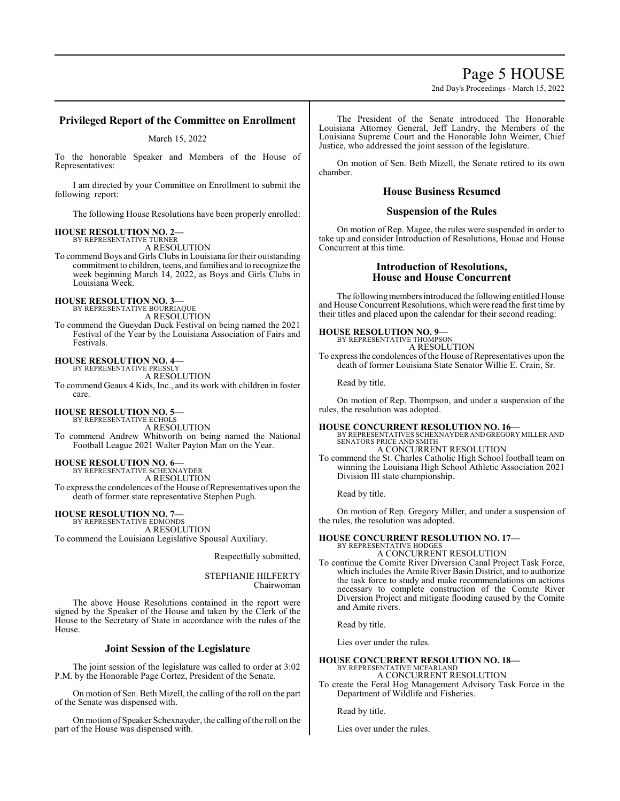# Page 5 HOUSE

2nd Day's Proceedings - March 15, 2022

## **Privileged Report of the Committee on Enrollment**

## March 15, 2022

To the honorable Speaker and Members of the House of Representatives:

I am directed by your Committee on Enrollment to submit the following report:

The following House Resolutions have been properly enrolled:

# **HOUSE RESOLUTION NO. 2—**

BY REPRESENTATIVE TURNER A RESOLUTION

To commend Boys and Girls Clubs in Louisiana for their outstanding commitment to children, teens, and families and to recognize the week beginning March 14, 2022, as Boys and Girls Clubs in Louisiana Week.

# **HOUSE RESOLUTION NO. 3—**

BY REPRESENTATIVE BOURRIAQUE

A RESOLUTION To commend the Gueydan Duck Festival on being named the 2021 Festival of the Year by the Louisiana Association of Fairs and Festivals.

### **HOUSE RESOLUTION NO. 4—** BY REPRESENTATIVE PRESSLY

A RESOLUTION

To commend Geaux 4 Kids, Inc., and its work with children in foster care.

# **HOUSE RESOLUTION NO. 5—**

BY REPRESENTATIVE ECHOLS A RESOLUTION To commend Andrew Whitworth on being named the National Football League 2021 Walter Payton Man on the Year.

# **HOUSE RESOLUTION NO. 6—** BY REPRESENTATIVE SCHEXNAYDER

A RESOLUTION To express the condolences of the House of Representatives upon the death of former state representative Stephen Pugh.

**HOUSE RESOLUTION NO. 7—** BY REPRESENTATIVE EDMONDS A RESOLUTION To commend the Louisiana Legislative Spousal Auxiliary.

Respectfully submitted,

STEPHANIE HILFERTY Chairwoman

The above House Resolutions contained in the report were signed by the Speaker of the House and taken by the Clerk of the House to the Secretary of State in accordance with the rules of the House.

## **Joint Session of the Legislature**

The joint session of the legislature was called to order at 3:02 P.M. by the Honorable Page Cortez, President of the Senate.

On motion of Sen. Beth Mizell, the calling of the roll on the part of the Senate was dispensed with.

On motion of Speaker Schexnayder, the calling of the roll on the part of the House was dispensed with.

The President of the Senate introduced The Honorable Louisiana Attorney General, Jeff Landry, the Members of the Louisiana Supreme Court and the Honorable John Weimer, Chief Justice, who addressed the joint session of the legislature.

On motion of Sen. Beth Mizell, the Senate retired to its own chamber.

## **House Business Resumed**

## **Suspension of the Rules**

On motion of Rep. Magee, the rules were suspended in order to take up and consider Introduction of Resolutions, House and House Concurrent at this time.

## **Introduction of Resolutions, House and House Concurrent**

The following members introduced the following entitled House and House Concurrent Resolutions, which were read the first time by their titles and placed upon the calendar for their second reading:

## **HOUSE RESOLUTION NO. 9—**

BY REPRESENTATIVE THOMPSON A RESOLUTION

To express the condolences of the House of Representatives upon the death of former Louisiana State Senator Willie E. Crain, Sr.

Read by title.

On motion of Rep. Thompson, and under a suspension of the rules, the resolution was adopted.

## **HOUSE CONCURRENT RESOLUTION NO. 16—**

BY REPRESENTATIVES SCHEXNAYDER AND GREGORY MILLER AND SENATORS PRICE AND SMITH A CONCURRENT RESOLUTION

To commend the St. Charles Catholic High School football team on winning the Louisiana High School Athletic Association 2021 Division III state championship.

Read by title.

On motion of Rep. Gregory Miller, and under a suspension of the rules, the resolution was adopted.

#### **HOUSE CONCURRENT RESOLUTION NO. 17—** BY REPRESENTATIVE HODGES A CONCURRENT RESOLUTION

To continue the Comite River Diversion Canal Project Task Force, which includes the Amite River Basin District, and to authorize the task force to study and make recommendations on actions necessary to complete construction of the Comite River Diversion Project and mitigate flooding caused by the Comite and Amite rivers.

Read by title.

Lies over under the rules.

### **HOUSE CONCURRENT RESOLUTION NO. 18—** BY REPRESENTATIVE MCFARLAND

A CONCURRENT RESOLUTION

To create the Feral Hog Management Advisory Task Force in the Department of Wildlife and Fisheries.

Read by title.

Lies over under the rules.